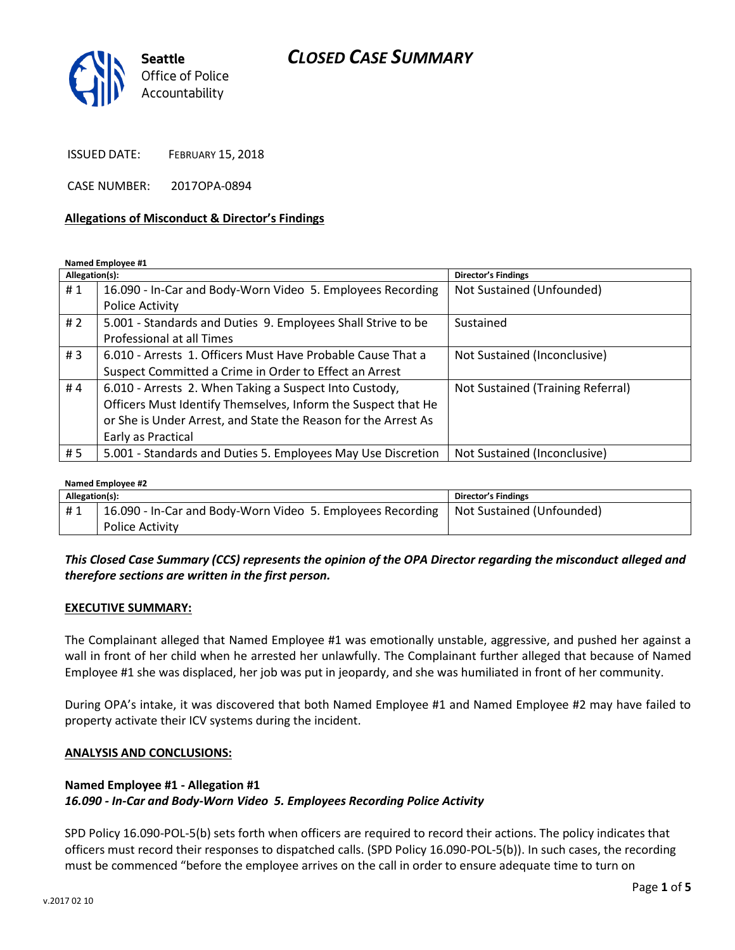## *CLOSED CASE SUMMARY*



ISSUED DATE: FEBRUARY 15, 2018

CASE NUMBER: 2017OPA-0894

#### **Allegations of Misconduct & Director's Findings**

**Named Employee #1**

| Allegation(s): |                                                                | <b>Director's Findings</b>        |
|----------------|----------------------------------------------------------------|-----------------------------------|
| #1             | 16.090 - In-Car and Body-Worn Video 5. Employees Recording     | Not Sustained (Unfounded)         |
|                | Police Activity                                                |                                   |
| # $2$          | 5.001 - Standards and Duties 9. Employees Shall Strive to be   | Sustained                         |
|                | Professional at all Times                                      |                                   |
| #3             | 6.010 - Arrests 1. Officers Must Have Probable Cause That a    | Not Sustained (Inconclusive)      |
|                | Suspect Committed a Crime in Order to Effect an Arrest         |                                   |
| #4             | 6.010 - Arrests 2. When Taking a Suspect Into Custody,         | Not Sustained (Training Referral) |
|                | Officers Must Identify Themselves, Inform the Suspect that He  |                                   |
|                | or She is Under Arrest, and State the Reason for the Arrest As |                                   |
|                | Early as Practical                                             |                                   |
| #5             | 5.001 - Standards and Duties 5. Employees May Use Discretion   | Not Sustained (Inconclusive)      |

#### **Named Employee #2**

| Allegation(s): |                                                                                        | <b>Director's Findings</b> |  |
|----------------|----------------------------------------------------------------------------------------|----------------------------|--|
| #1             | 16.090 - In-Car and Body-Worn Video 5. Employees Recording   Not Sustained (Unfounded) |                            |  |
|                | <b>Police Activity</b>                                                                 |                            |  |

#### *This Closed Case Summary (CCS) represents the opinion of the OPA Director regarding the misconduct alleged and therefore sections are written in the first person.*

#### **EXECUTIVE SUMMARY:**

The Complainant alleged that Named Employee #1 was emotionally unstable, aggressive, and pushed her against a wall in front of her child when he arrested her unlawfully. The Complainant further alleged that because of Named Employee #1 she was displaced, her job was put in jeopardy, and she was humiliated in front of her community.

During OPA's intake, it was discovered that both Named Employee #1 and Named Employee #2 may have failed to property activate their ICV systems during the incident.

#### **ANALYSIS AND CONCLUSIONS:**

#### **Named Employee #1 - Allegation #1** *16.090 - In-Car and Body-Worn Video 5. Employees Recording Police Activity*

SPD Policy 16.090-POL-5(b) sets forth when officers are required to record their actions. The policy indicates that officers must record their responses to dispatched calls. (SPD Policy 16.090-POL-5(b)). In such cases, the recording must be commenced "before the employee arrives on the call in order to ensure adequate time to turn on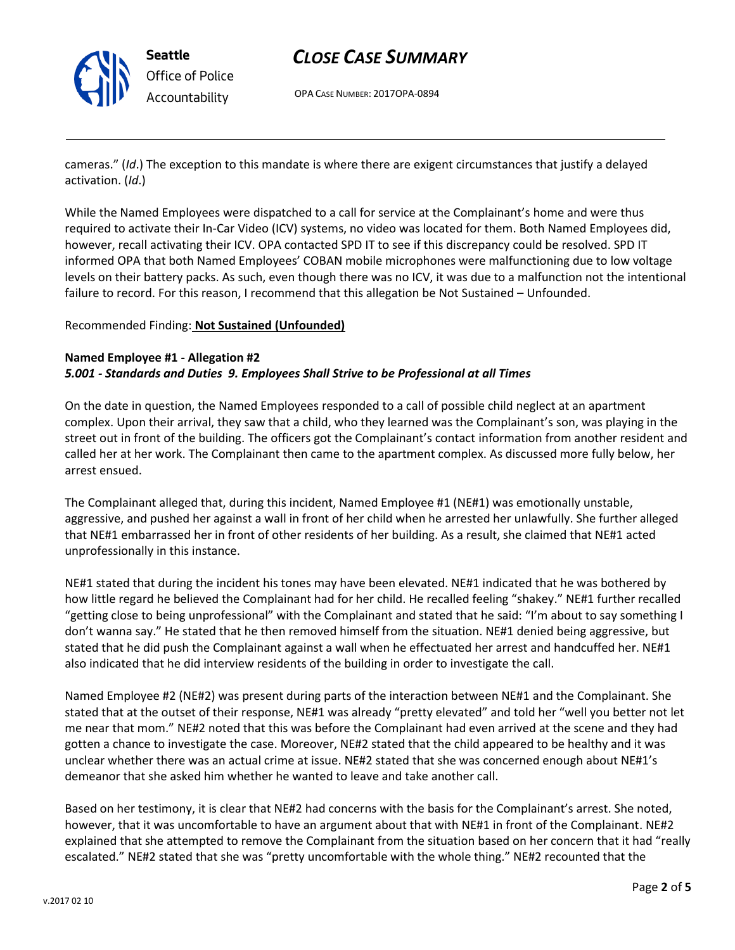

# *CLOSE CASE SUMMARY*

OPA CASE NUMBER: 2017OPA-0894

cameras." (*Id*.) The exception to this mandate is where there are exigent circumstances that justify a delayed activation. (*Id*.)

While the Named Employees were dispatched to a call for service at the Complainant's home and were thus required to activate their In-Car Video (ICV) systems, no video was located for them. Both Named Employees did, however, recall activating their ICV. OPA contacted SPD IT to see if this discrepancy could be resolved. SPD IT informed OPA that both Named Employees' COBAN mobile microphones were malfunctioning due to low voltage levels on their battery packs. As such, even though there was no ICV, it was due to a malfunction not the intentional failure to record. For this reason, I recommend that this allegation be Not Sustained – Unfounded.

#### Recommended Finding: **Not Sustained (Unfounded)**

#### **Named Employee #1 - Allegation #2** *5.001 - Standards and Duties 9. Employees Shall Strive to be Professional at all Times*

On the date in question, the Named Employees responded to a call of possible child neglect at an apartment complex. Upon their arrival, they saw that a child, who they learned was the Complainant's son, was playing in the street out in front of the building. The officers got the Complainant's contact information from another resident and called her at her work. The Complainant then came to the apartment complex. As discussed more fully below, her arrest ensued.

The Complainant alleged that, during this incident, Named Employee #1 (NE#1) was emotionally unstable, aggressive, and pushed her against a wall in front of her child when he arrested her unlawfully. She further alleged that NE#1 embarrassed her in front of other residents of her building. As a result, she claimed that NE#1 acted unprofessionally in this instance.

NE#1 stated that during the incident his tones may have been elevated. NE#1 indicated that he was bothered by how little regard he believed the Complainant had for her child. He recalled feeling "shakey." NE#1 further recalled "getting close to being unprofessional" with the Complainant and stated that he said: "I'm about to say something I don't wanna say." He stated that he then removed himself from the situation. NE#1 denied being aggressive, but stated that he did push the Complainant against a wall when he effectuated her arrest and handcuffed her. NE#1 also indicated that he did interview residents of the building in order to investigate the call.

Named Employee #2 (NE#2) was present during parts of the interaction between NE#1 and the Complainant. She stated that at the outset of their response, NE#1 was already "pretty elevated" and told her "well you better not let me near that mom." NE#2 noted that this was before the Complainant had even arrived at the scene and they had gotten a chance to investigate the case. Moreover, NE#2 stated that the child appeared to be healthy and it was unclear whether there was an actual crime at issue. NE#2 stated that she was concerned enough about NE#1's demeanor that she asked him whether he wanted to leave and take another call.

Based on her testimony, it is clear that NE#2 had concerns with the basis for the Complainant's arrest. She noted, however, that it was uncomfortable to have an argument about that with NE#1 in front of the Complainant. NE#2 explained that she attempted to remove the Complainant from the situation based on her concern that it had "really escalated." NE#2 stated that she was "pretty uncomfortable with the whole thing." NE#2 recounted that the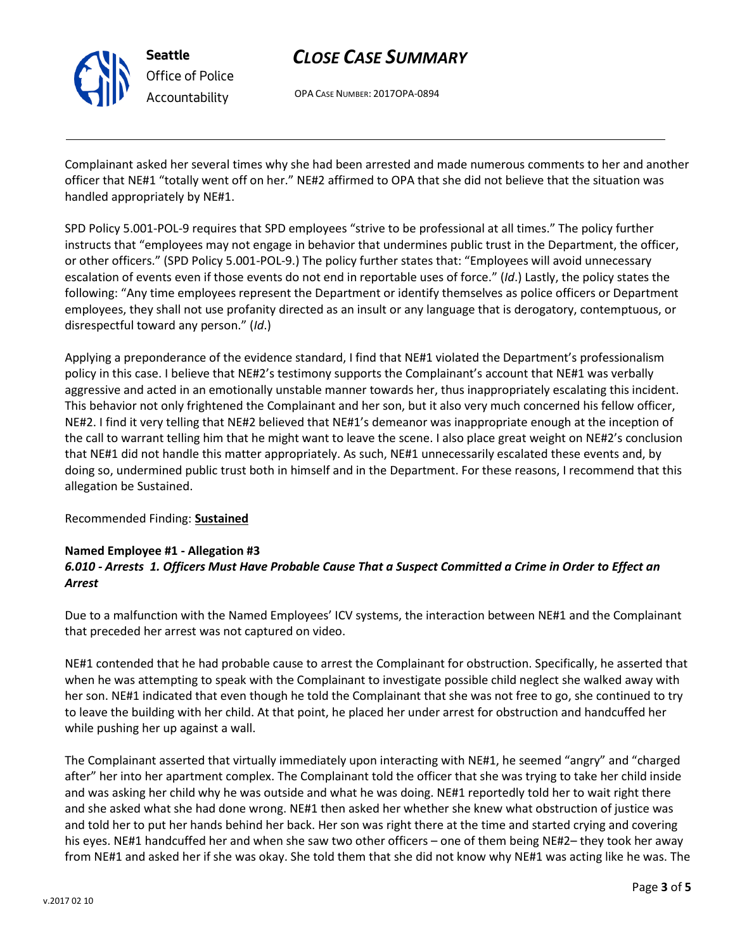

**Seattle** *Office of Police Accountability*

# *CLOSE CASE SUMMARY*

OPA CASE NUMBER: 2017OPA-0894

Complainant asked her several times why she had been arrested and made numerous comments to her and another officer that NE#1 "totally went off on her." NE#2 affirmed to OPA that she did not believe that the situation was handled appropriately by NE#1.

SPD Policy 5.001-POL-9 requires that SPD employees "strive to be professional at all times." The policy further instructs that "employees may not engage in behavior that undermines public trust in the Department, the officer, or other officers." (SPD Policy 5.001-POL-9.) The policy further states that: "Employees will avoid unnecessary escalation of events even if those events do not end in reportable uses of force." (*Id*.) Lastly, the policy states the following: "Any time employees represent the Department or identify themselves as police officers or Department employees, they shall not use profanity directed as an insult or any language that is derogatory, contemptuous, or disrespectful toward any person." (*Id*.)

Applying a preponderance of the evidence standard, I find that NE#1 violated the Department's professionalism policy in this case. I believe that NE#2's testimony supports the Complainant's account that NE#1 was verbally aggressive and acted in an emotionally unstable manner towards her, thus inappropriately escalating this incident. This behavior not only frightened the Complainant and her son, but it also very much concerned his fellow officer, NE#2. I find it very telling that NE#2 believed that NE#1's demeanor was inappropriate enough at the inception of the call to warrant telling him that he might want to leave the scene. I also place great weight on NE#2's conclusion that NE#1 did not handle this matter appropriately. As such, NE#1 unnecessarily escalated these events and, by doing so, undermined public trust both in himself and in the Department. For these reasons, I recommend that this allegation be Sustained.

### Recommended Finding: **Sustained**

### **Named Employee #1 - Allegation #3**

## *6.010 - Arrests 1. Officers Must Have Probable Cause That a Suspect Committed a Crime in Order to Effect an Arrest*

Due to a malfunction with the Named Employees' ICV systems, the interaction between NE#1 and the Complainant that preceded her arrest was not captured on video.

NE#1 contended that he had probable cause to arrest the Complainant for obstruction. Specifically, he asserted that when he was attempting to speak with the Complainant to investigate possible child neglect she walked away with her son. NE#1 indicated that even though he told the Complainant that she was not free to go, she continued to try to leave the building with her child. At that point, he placed her under arrest for obstruction and handcuffed her while pushing her up against a wall.

The Complainant asserted that virtually immediately upon interacting with NE#1, he seemed "angry" and "charged after" her into her apartment complex. The Complainant told the officer that she was trying to take her child inside and was asking her child why he was outside and what he was doing. NE#1 reportedly told her to wait right there and she asked what she had done wrong. NE#1 then asked her whether she knew what obstruction of justice was and told her to put her hands behind her back. Her son was right there at the time and started crying and covering his eyes. NE#1 handcuffed her and when she saw two other officers – one of them being NE#2– they took her away from NE#1 and asked her if she was okay. She told them that she did not know why NE#1 was acting like he was. The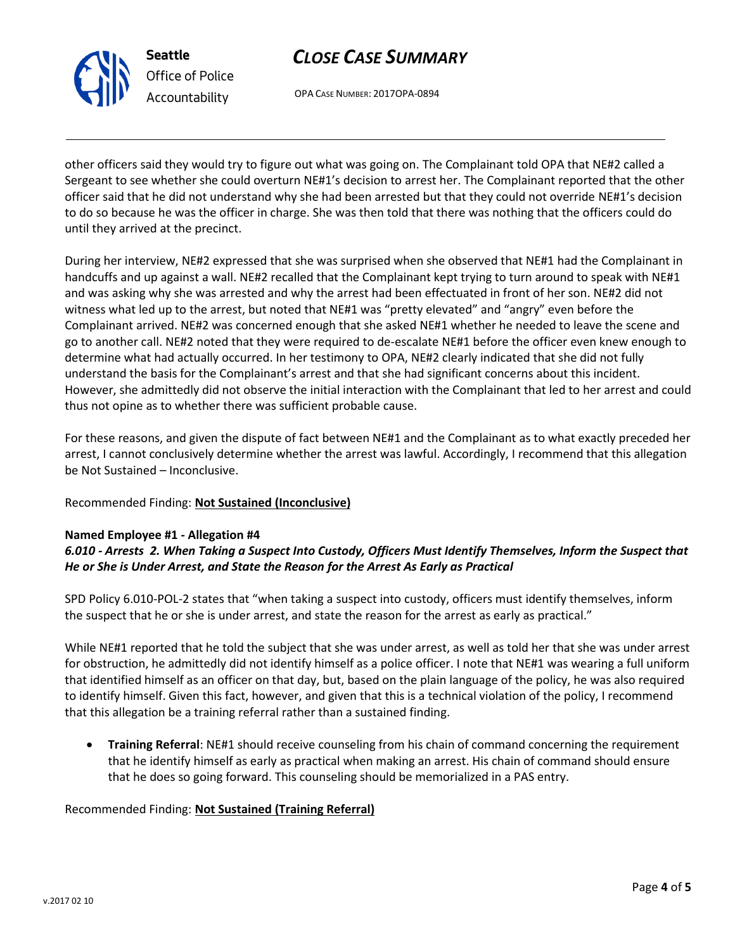

# *CLOSE CASE SUMMARY*

OPA CASE NUMBER: 2017OPA-0894

other officers said they would try to figure out what was going on. The Complainant told OPA that NE#2 called a Sergeant to see whether she could overturn NE#1's decision to arrest her. The Complainant reported that the other officer said that he did not understand why she had been arrested but that they could not override NE#1's decision to do so because he was the officer in charge. She was then told that there was nothing that the officers could do until they arrived at the precinct.

During her interview, NE#2 expressed that she was surprised when she observed that NE#1 had the Complainant in handcuffs and up against a wall. NE#2 recalled that the Complainant kept trying to turn around to speak with NE#1 and was asking why she was arrested and why the arrest had been effectuated in front of her son. NE#2 did not witness what led up to the arrest, but noted that NE#1 was "pretty elevated" and "angry" even before the Complainant arrived. NE#2 was concerned enough that she asked NE#1 whether he needed to leave the scene and go to another call. NE#2 noted that they were required to de-escalate NE#1 before the officer even knew enough to determine what had actually occurred. In her testimony to OPA, NE#2 clearly indicated that she did not fully understand the basis for the Complainant's arrest and that she had significant concerns about this incident. However, she admittedly did not observe the initial interaction with the Complainant that led to her arrest and could thus not opine as to whether there was sufficient probable cause.

For these reasons, and given the dispute of fact between NE#1 and the Complainant as to what exactly preceded her arrest, I cannot conclusively determine whether the arrest was lawful. Accordingly, I recommend that this allegation be Not Sustained – Inconclusive.

### Recommended Finding: **Not Sustained (Inconclusive)**

### **Named Employee #1 - Allegation #4**

## *6.010 - Arrests 2. When Taking a Suspect Into Custody, Officers Must Identify Themselves, Inform the Suspect that He or She is Under Arrest, and State the Reason for the Arrest As Early as Practical*

SPD Policy 6.010-POL-2 states that "when taking a suspect into custody, officers must identify themselves, inform the suspect that he or she is under arrest, and state the reason for the arrest as early as practical."

While NE#1 reported that he told the subject that she was under arrest, as well as told her that she was under arrest for obstruction, he admittedly did not identify himself as a police officer. I note that NE#1 was wearing a full uniform that identified himself as an officer on that day, but, based on the plain language of the policy, he was also required to identify himself. Given this fact, however, and given that this is a technical violation of the policy, I recommend that this allegation be a training referral rather than a sustained finding.

• **Training Referral**: NE#1 should receive counseling from his chain of command concerning the requirement that he identify himself as early as practical when making an arrest. His chain of command should ensure that he does so going forward. This counseling should be memorialized in a PAS entry.

### Recommended Finding: **Not Sustained (Training Referral)**